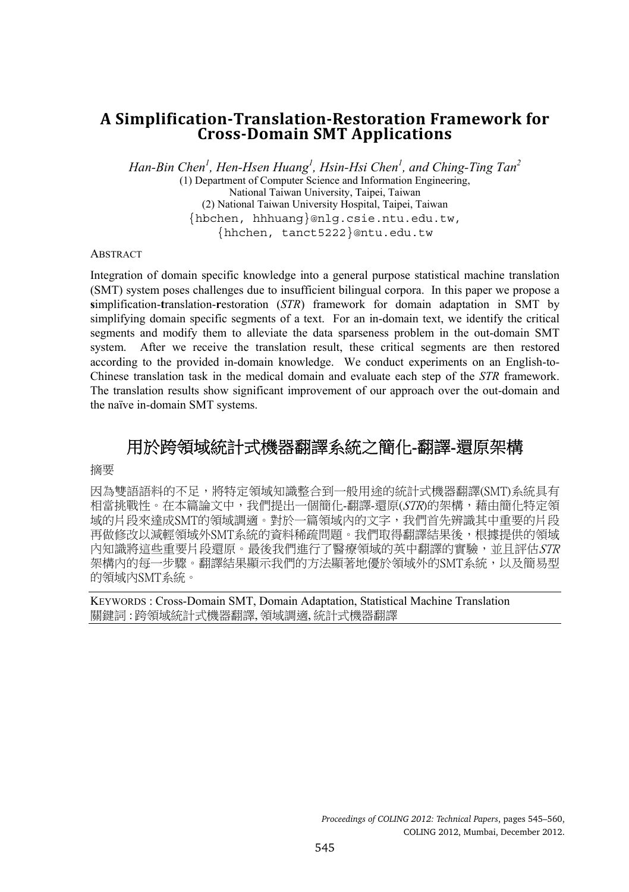# **A Simplification-Translation-Restoration Framework for Cross-Domain SMT Applications**

*Han-Bin Chen<sup>1</sup> , Hen-Hsen Huang1 , Hsin-Hsi Chen<sup>1</sup> , and Ching-Ting Tan<sup>2</sup>*

(1) Department of Computer Science and Information Engineering, National Taiwan University, Taipei, Taiwan (2) National Taiwan University Hospital, Taipei, Taiwan {hbchen, hhhuang}@nlg.csie.ntu.edu.tw, {hhchen, tanct5222}@ntu.edu.tw

**ABSTRACT** 

Integration of domain specific knowledge into a general purpose statistical machine translation (SMT) system poses challenges due to insufficient bilingual corpora. In this paper we propose a **s**implification-**t**ranslation-**r**estoration (*STR*) framework for domain adaptation in SMT by simplifying domain specific segments of a text. For an in-domain text, we identify the critical segments and modify them to alleviate the data sparseness problem in the out-domain SMT system. After we receive the translation result, these critical segments are then restored according to the provided in-domain knowledge. We conduct experiments on an English-to-Chinese translation task in the medical domain and evaluate each step of the *STR* framework. The translation results show significant improvement of our approach over the out-domain and the naïve in-domain SMT systems.

# 用於跨領域統計式機器翻譯系統之簡化-翻譯-還原架構

摘要

因為雙語語料的不足,將特定領域知識整合到一般用途的統計式機器翻譯(SMT)系統具有 相當挑戰性。在本篇論文中,我們提出一個簡化-翻譯-還原(STR)的架構,藉由簡化特定領 域的片段來達成SMT的領域調適。對於一篇領域內的文字,我們首先辨識其中重要的片段 再做修改以減輕領域外SMT系統的資料稀疏問題。我們取得翻譯結果後,根據提供的領域 內知識將這些重要片段還原。最後我們進行了醫療領域的英中翻譯的實驗,並且評估STR 架構內的每一步驟。翻譯結果顯示我們的方法顯著地優於領域外的SMT系統,以及簡易型 的領域內SMT系統。

KEYWORDS : Cross-Domain SMT, Domain Adaptation, Statistical Machine Translation 關鍵詞 : 跨領域統計式機器翻譯, 領域調適, 統計式機器翻譯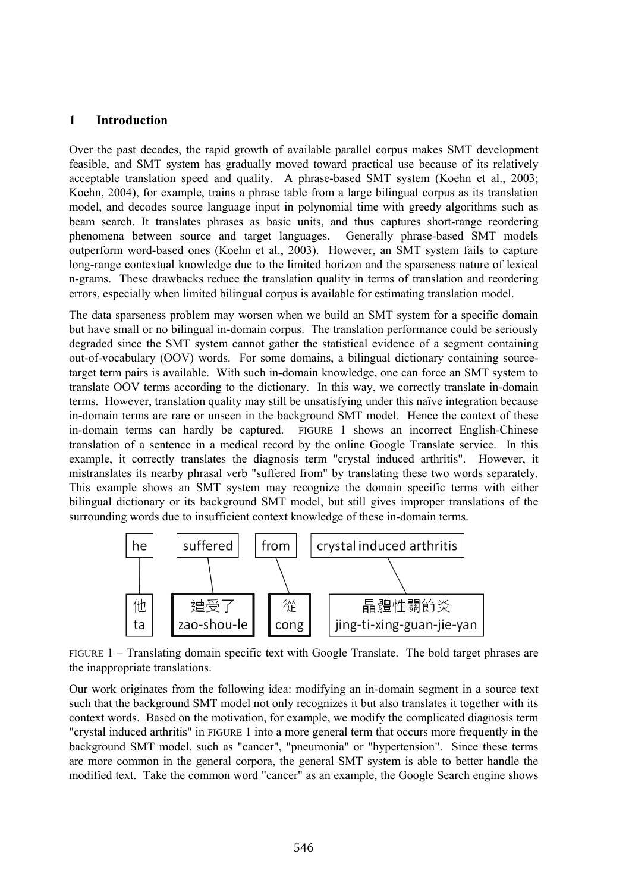### **1 Introduction**

Over the past decades, the rapid growth of available parallel corpus makes SMT development feasible, and SMT system has gradually moved toward practical use because of its relatively acceptable translation speed and quality. A phrase-based SMT system (Koehn et al., 2003; Koehn, 2004), for example, trains a phrase table from a large bilingual corpus as its translation model, and decodes source language input in polynomial time with greedy algorithms such as beam search. It translates phrases as basic units, and thus captures short-range reordering phenomena between source and target languages. Generally phrase-based SMT models outperform word-based ones (Koehn et al., 2003). However, an SMT system fails to capture long-range contextual knowledge due to the limited horizon and the sparseness nature of lexical n-grams. These drawbacks reduce the translation quality in terms of translation and reordering errors, especially when limited bilingual corpus is available for estimating translation model.

The data sparseness problem may worsen when we build an SMT system for a specific domain but have small or no bilingual in-domain corpus. The translation performance could be seriously degraded since the SMT system cannot gather the statistical evidence of a segment containing out-of-vocabulary (OOV) words. For some domains, a bilingual dictionary containing sourcetarget term pairs is available. With such in-domain knowledge, one can force an SMT system to translate OOV terms according to the dictionary. In this way, we correctly translate in-domain terms. However, translation quality may still be unsatisfying under this naïve integration because in-domain terms are rare or unseen in the background SMT model. Hence the context of these in-domain terms can hardly be captured. FIGURE 1 shows an incorrect English-Chinese translation of a sentence in a medical record by the online Google Translate service. In this example, it correctly translates the diagnosis term "crystal induced arthritis". However, it mistranslates its nearby phrasal verb "suffered from" by translating these two words separately. This example shows an SMT system may recognize the domain specific terms with either bilingual dictionary or its background SMT model, but still gives improper translations of the surrounding words due to insufficient context knowledge of these in-domain terms.



FIGURE 1 – Translating domain specific text with Google Translate. The bold target phrases are the inappropriate translations.

Our work originates from the following idea: modifying an in-domain segment in a source text such that the background SMT model not only recognizes it but also translates it together with its context words. Based on the motivation, for example, we modify the complicated diagnosis term "crystal induced arthritis" in FIGURE 1 into a more general term that occurs more frequently in the background SMT model, such as "cancer", "pneumonia" or "hypertension". Since these terms are more common in the general corpora, the general SMT system is able to better handle the modified text. Take the common word "cancer" as an example, the Google Search engine shows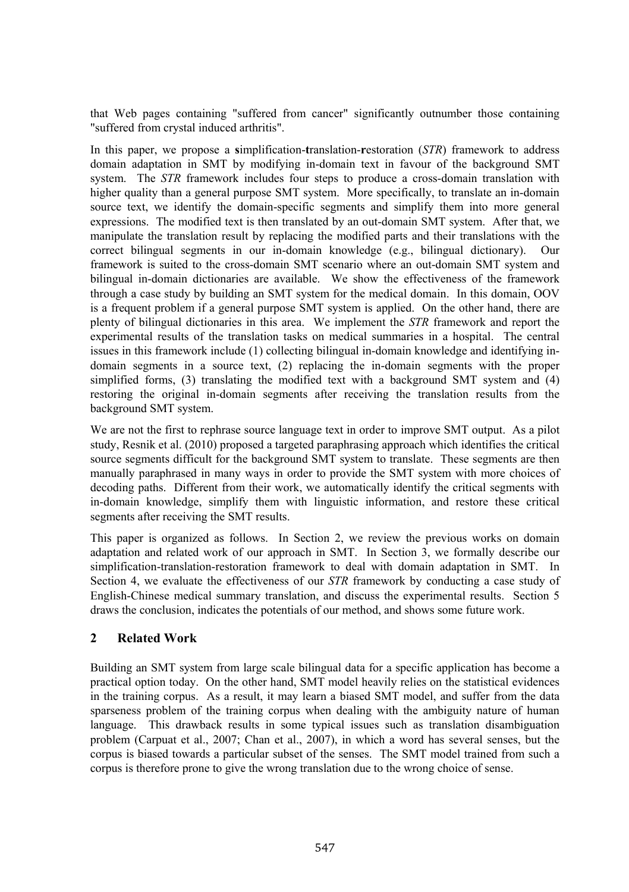that Web pages containing "suffered from cancer" significantly outnumber those containing "suffered from crystal induced arthritis".

In this paper, we propose a **s**implification-**t**ranslation-**r**estoration (*STR*) framework to address domain adaptation in SMT by modifying in-domain text in favour of the background SMT system. The *STR* framework includes four steps to produce a cross-domain translation with higher quality than a general purpose SMT system. More specifically, to translate an in-domain source text, we identify the domain-specific segments and simplify them into more general expressions. The modified text is then translated by an out-domain SMT system. After that, we manipulate the translation result by replacing the modified parts and their translations with the correct bilingual segments in our in-domain knowledge (e.g., bilingual dictionary). Our framework is suited to the cross-domain SMT scenario where an out-domain SMT system and bilingual in-domain dictionaries are available. We show the effectiveness of the framework through a case study by building an SMT system for the medical domain. In this domain, OOV is a frequent problem if a general purpose SMT system is applied. On the other hand, there are plenty of bilingual dictionaries in this area. We implement the *STR* framework and report the experimental results of the translation tasks on medical summaries in a hospital. The central issues in this framework include (1) collecting bilingual in-domain knowledge and identifying indomain segments in a source text, (2) replacing the in-domain segments with the proper simplified forms, (3) translating the modified text with a background SMT system and (4) restoring the original in-domain segments after receiving the translation results from the background SMT system.

We are not the first to rephrase source language text in order to improve SMT output. As a pilot study, Resnik et al. (2010) proposed a targeted paraphrasing approach which identifies the critical source segments difficult for the background SMT system to translate. These segments are then manually paraphrased in many ways in order to provide the SMT system with more choices of decoding paths. Different from their work, we automatically identify the critical segments with in-domain knowledge, simplify them with linguistic information, and restore these critical segments after receiving the SMT results.

This paper is organized as follows. In Section 2, we review the previous works on domain adaptation and related work of our approach in SMT. In Section 3, we formally describe our simplification-translation-restoration framework to deal with domain adaptation in SMT. In Section 4, we evaluate the effectiveness of our *STR* framework by conducting a case study of English-Chinese medical summary translation, and discuss the experimental results. Section 5 draws the conclusion, indicates the potentials of our method, and shows some future work.

# **2 Related Work**

Building an SMT system from large scale bilingual data for a specific application has become a practical option today. On the other hand, SMT model heavily relies on the statistical evidences in the training corpus. As a result, it may learn a biased SMT model, and suffer from the data sparseness problem of the training corpus when dealing with the ambiguity nature of human language. This drawback results in some typical issues such as translation disambiguation problem (Carpuat et al., 2007; Chan et al., 2007), in which a word has several senses, but the corpus is biased towards a particular subset of the senses. The SMT model trained from such a corpus is therefore prone to give the wrong translation due to the wrong choice of sense.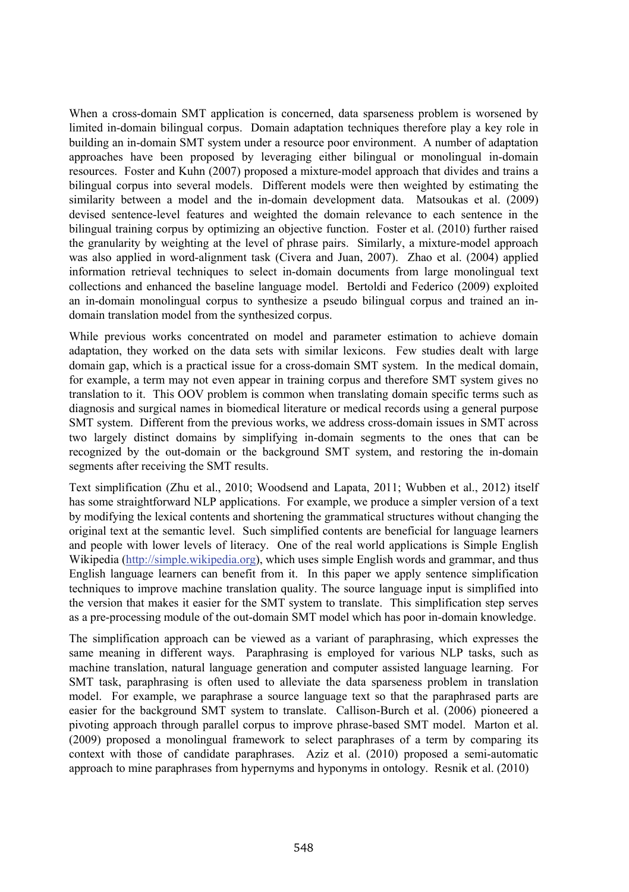When a cross-domain SMT application is concerned, data sparseness problem is worsened by limited in-domain bilingual corpus. Domain adaptation techniques therefore play a key role in building an in-domain SMT system under a resource poor environment. A number of adaptation approaches have been proposed by leveraging either bilingual or monolingual in-domain resources. Foster and Kuhn (2007) proposed a mixture-model approach that divides and trains a bilingual corpus into several models. Different models were then weighted by estimating the similarity between a model and the in-domain development data. Matsoukas et al. (2009) devised sentence-level features and weighted the domain relevance to each sentence in the bilingual training corpus by optimizing an objective function. Foster et al. (2010) further raised the granularity by weighting at the level of phrase pairs. Similarly, a mixture-model approach was also applied in word-alignment task (Civera and Juan, 2007). Zhao et al. (2004) applied information retrieval techniques to select in-domain documents from large monolingual text collections and enhanced the baseline language model. Bertoldi and Federico (2009) exploited an in-domain monolingual corpus to synthesize a pseudo bilingual corpus and trained an indomain translation model from the synthesized corpus.

While previous works concentrated on model and parameter estimation to achieve domain adaptation, they worked on the data sets with similar lexicons. Few studies dealt with large domain gap, which is a practical issue for a cross-domain SMT system. In the medical domain, for example, a term may not even appear in training corpus and therefore SMT system gives no translation to it. This OOV problem is common when translating domain specific terms such as diagnosis and surgical names in biomedical literature or medical records using a general purpose SMT system. Different from the previous works, we address cross-domain issues in SMT across two largely distinct domains by simplifying in-domain segments to the ones that can be recognized by the out-domain or the background SMT system, and restoring the in-domain segments after receiving the SMT results.

Text simplification (Zhu et al., 2010; Woodsend and Lapata, 2011; Wubben et al., 2012) itself has some straightforward NLP applications. For example, we produce a simpler version of a text by modifying the lexical contents and shortening the grammatical structures without changing the original text at the semantic level. Such simplified contents are beneficial for language learners and people with lower levels of literacy. One of the real world applications is Simple English Wikipedia (http://simple.wikipedia.org), which uses simple English words and grammar, and thus English language learners can benefit from it. In this paper we apply sentence simplification techniques to improve machine translation quality. The source language input is simplified into the version that makes it easier for the SMT system to translate. This simplification step serves as a pre-processing module of the out-domain SMT model which has poor in-domain knowledge.

The simplification approach can be viewed as a variant of paraphrasing, which expresses the same meaning in different ways. Paraphrasing is employed for various NLP tasks, such as machine translation, natural language generation and computer assisted language learning. For SMT task, paraphrasing is often used to alleviate the data sparseness problem in translation model. For example, we paraphrase a source language text so that the paraphrased parts are easier for the background SMT system to translate. Callison-Burch et al. (2006) pioneered a pivoting approach through parallel corpus to improve phrase-based SMT model. Marton et al. (2009) proposed a monolingual framework to select paraphrases of a term by comparing its context with those of candidate paraphrases. Aziz et al. (2010) proposed a semi-automatic approach to mine paraphrases from hypernyms and hyponyms in ontology. Resnik et al. (2010)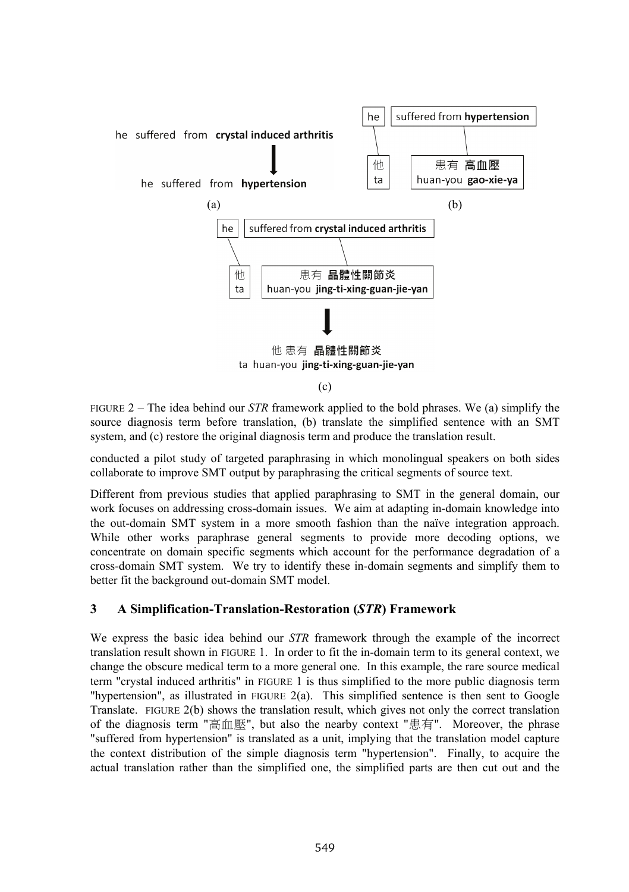

FIGURE 2 – The idea behind our *STR* framework applied to the bold phrases. We (a) simplify the source diagnosis term before translation, (b) translate the simplified sentence with an SMT system, and (c) restore the original diagnosis term and produce the translation result.

conducted a pilot study of targeted paraphrasing in which monolingual speakers on both sides collaborate to improve SMT output by paraphrasing the critical segments of source text.

Different from previous studies that applied paraphrasing to SMT in the general domain, our work focuses on addressing cross-domain issues. We aim at adapting in-domain knowledge into the out-domain SMT system in a more smooth fashion than the naïve integration approach. While other works paraphrase general segments to provide more decoding options, we concentrate on domain specific segments which account for the performance degradation of a cross-domain SMT system. We try to identify these in-domain segments and simplify them to better fit the background out-domain SMT model.

# **3 A Simplification-Translation-Restoration (***STR***) Framework**

We express the basic idea behind our *STR* framework through the example of the incorrect translation result shown in FIGURE 1. In order to fit the in-domain term to its general context, we change the obscure medical term to a more general one. In this example, the rare source medical term "crystal induced arthritis" in FIGURE 1 is thus simplified to the more public diagnosis term "hypertension", as illustrated in FIGURE  $2(a)$ . This simplified sentence is then sent to Google Translate. FIGURE 2(b) shows the translation result, which gives not only the correct translation of the diagnosis term "高血壓", but also the nearby context "患有". Moreover, the phrase "suffered from hypertension" is translated as a unit, implying that the translation model capture the context distribution of the simple diagnosis term "hypertension". Finally, to acquire the actual translation rather than the simplified one, the simplified parts are then cut out and the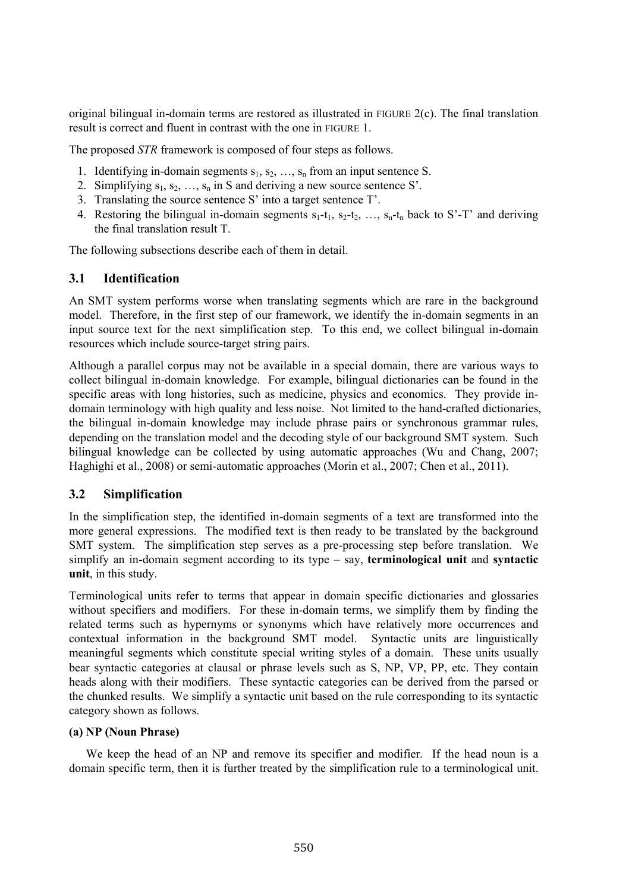original bilingual in-domain terms are restored as illustrated in FIGURE 2(c). The final translation result is correct and fluent in contrast with the one in FIGURE 1.

The proposed *STR* framework is composed of four steps as follows.

- 1. Identifying in-domain segments  $s_1, s_2, \ldots, s_n$  from an input sentence S.
- 2. Simplifying  $s_1, s_2, ..., s_n$  in S and deriving a new source sentence S'.
- 3. Translating the source sentence S' into a target sentence T'.
- 4. Restoring the bilingual in-domain segments  $s_1$ -t<sub>1</sub>,  $s_2$ -t<sub>2</sub>, …,  $s_n$ -t<sub>n</sub> back to S'-T' and deriving the final translation result T.

The following subsections describe each of them in detail.

### **3.1 Identification**

An SMT system performs worse when translating segments which are rare in the background model. Therefore, in the first step of our framework, we identify the in-domain segments in an input source text for the next simplification step. To this end, we collect bilingual in-domain resources which include source-target string pairs.

Although a parallel corpus may not be available in a special domain, there are various ways to collect bilingual in-domain knowledge. For example, bilingual dictionaries can be found in the specific areas with long histories, such as medicine, physics and economics. They provide indomain terminology with high quality and less noise. Not limited to the hand-crafted dictionaries, the bilingual in-domain knowledge may include phrase pairs or synchronous grammar rules, depending on the translation model and the decoding style of our background SMT system. Such bilingual knowledge can be collected by using automatic approaches (Wu and Chang, 2007; Haghighi et al., 2008) or semi-automatic approaches (Morin et al., 2007; Chen et al., 2011).

#### **3.2 Simplification**

In the simplification step, the identified in-domain segments of a text are transformed into the more general expressions. The modified text is then ready to be translated by the background SMT system. The simplification step serves as a pre-processing step before translation. We simplify an in-domain segment according to its type – say, **terminological unit** and **syntactic unit**, in this study.

Terminological units refer to terms that appear in domain specific dictionaries and glossaries without specifiers and modifiers. For these in-domain terms, we simplify them by finding the related terms such as hypernyms or synonyms which have relatively more occurrences and contextual information in the background SMT model. Syntactic units are linguistically meaningful segments which constitute special writing styles of a domain. These units usually bear syntactic categories at clausal or phrase levels such as S, NP, VP, PP, etc. They contain heads along with their modifiers. These syntactic categories can be derived from the parsed or the chunked results. We simplify a syntactic unit based on the rule corresponding to its syntactic category shown as follows.

#### **(a) NP (Noun Phrase)**

We keep the head of an NP and remove its specifier and modifier. If the head noun is a domain specific term, then it is further treated by the simplification rule to a terminological unit.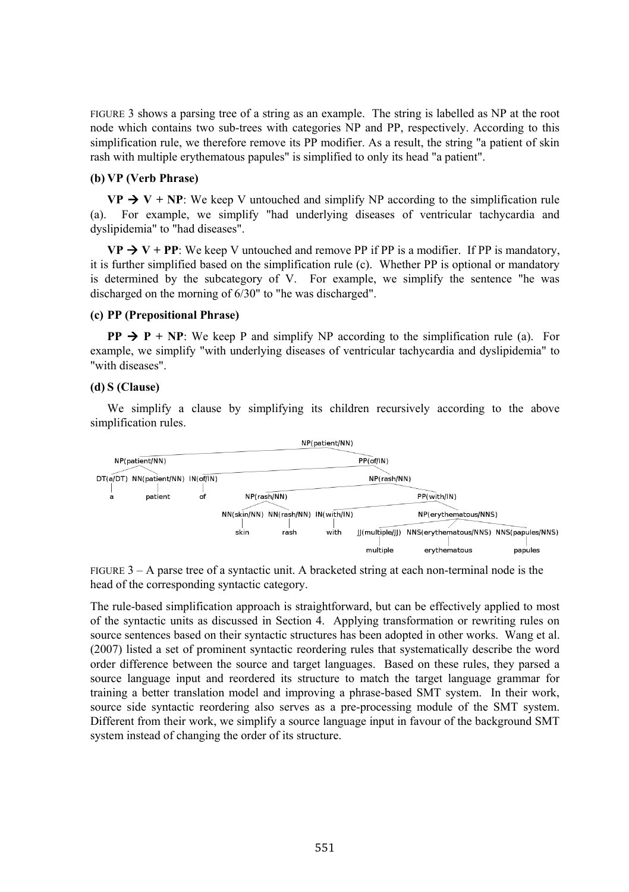FIGURE 3 shows a parsing tree of a string as an example. The string is labelled as NP at the root node which contains two sub-trees with categories NP and PP, respectively. According to this simplification rule, we therefore remove its PP modifier. As a result, the string "a patient of skin rash with multiple erythematous papules" is simplified to only its head "a patient".

#### **(b) VP (Verb Phrase)**

**VP**  $\rightarrow$  **V** + **NP**: We keep V untouched and simplify NP according to the simplification rule (a). For example, we simplify "had underlying diseases of ventricular tachycardia and dyslipidemia" to "had diseases".

 $VP \rightarrow V + PP$ : We keep V untouched and remove PP if PP is a modifier. If PP is mandatory, it is further simplified based on the simplification rule (c). Whether PP is optional or mandatory is determined by the subcategory of V. For example, we simplify the sentence "he was discharged on the morning of 6/30" to "he was discharged".

#### **(c) PP (Prepositional Phrase)**

**PP**  $\rightarrow$  **P** + **NP**: We keep P and simplify NP according to the simplification rule (a). For example, we simplify "with underlying diseases of ventricular tachycardia and dyslipidemia" to "with diseases".

#### **(d) S (Clause)**

We simplify a clause by simplifying its children recursively according to the above simplification rules.



FIGURE  $3 - A$  parse tree of a syntactic unit. A bracketed string at each non-terminal node is the head of the corresponding syntactic category.

The rule-based simplification approach is straightforward, but can be effectively applied to most of the syntactic units as discussed in Section 4. Applying transformation or rewriting rules on source sentences based on their syntactic structures has been adopted in other works. Wang et al. (2007) listed a set of prominent syntactic reordering rules that systematically describe the word order difference between the source and target languages. Based on these rules, they parsed a source language input and reordered its structure to match the target language grammar for training a better translation model and improving a phrase-based SMT system. In their work, source side syntactic reordering also serves as a pre-processing module of the SMT system. Different from their work, we simplify a source language input in favour of the background SMT system instead of changing the order of its structure.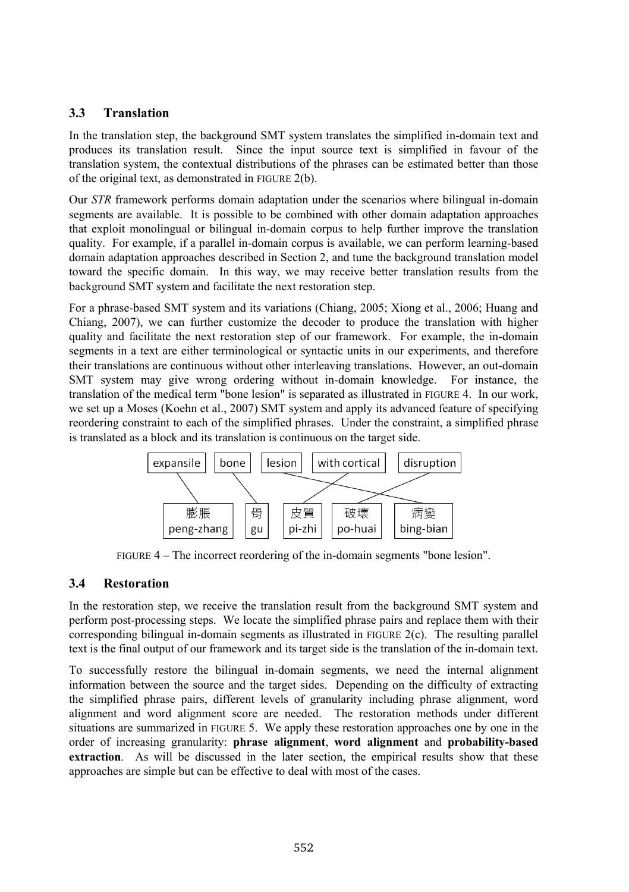# **3.3 Translation**

In the translation step, the background SMT system translates the simplified in-domain text and produces its translation result. Since the input source text is simplified in favour of the translation system, the contextual distributions of the phrases can be estimated better than those of the original text, as demonstrated in FIGURE 2(b).

Our *STR* framework performs domain adaptation under the scenarios where bilingual in-domain segments are available. It is possible to be combined with other domain adaptation approaches that exploit monolingual or bilingual in-domain corpus to help further improve the translation quality. For example, if a parallel in-domain corpus is available, we can perform learning-based domain adaptation approaches described in Section 2, and tune the background translation model toward the specific domain. In this way, we may receive better translation results from the background SMT system and facilitate the next restoration step.

For a phrase-based SMT system and its variations (Chiang, 2005; Xiong et al., 2006; Huang and Chiang, 2007), we can further customize the decoder to produce the translation with higher quality and facilitate the next restoration step of our framework. For example, the in-domain segments in a text are either terminological or syntactic units in our experiments, and therefore their translations are continuous without other interleaving translations. However, an out-domain SMT system may give wrong ordering without in-domain knowledge. For instance, the translation of the medical term "bone lesion" is separated as illustrated in FIGURE 4. In our work, we set up a Moses (Koehn et al., 2007) SMT system and apply its advanced feature of specifying reordering constraint to each of the simplified phrases. Under the constraint, a simplified phrase is translated as a block and its translation is continuous on the target side.



FIGURE 4 – The incorrect reordering of the in-domain segments "bone lesion".

# **3.4 Restoration**

In the restoration step, we receive the translation result from the background SMT system and perform post-processing steps. We locate the simplified phrase pairs and replace them with their corresponding bilingual in-domain segments as illustrated in FIGURE 2(c). The resulting parallel text is the final output of our framework and its target side is the translation of the in-domain text.

To successfully restore the bilingual in-domain segments, we need the internal alignment information between the source and the target sides. Depending on the difficulty of extracting the simplified phrase pairs, different levels of granularity including phrase alignment, word alignment and word alignment score are needed. The restoration methods under different situations are summarized in FIGURE 5. We apply these restoration approaches one by one in the order of increasing granularity: **phrase alignment**, **word alignment** and **probability-based extraction**. As will be discussed in the later section, the empirical results show that these approaches are simple but can be effective to deal with most of the cases.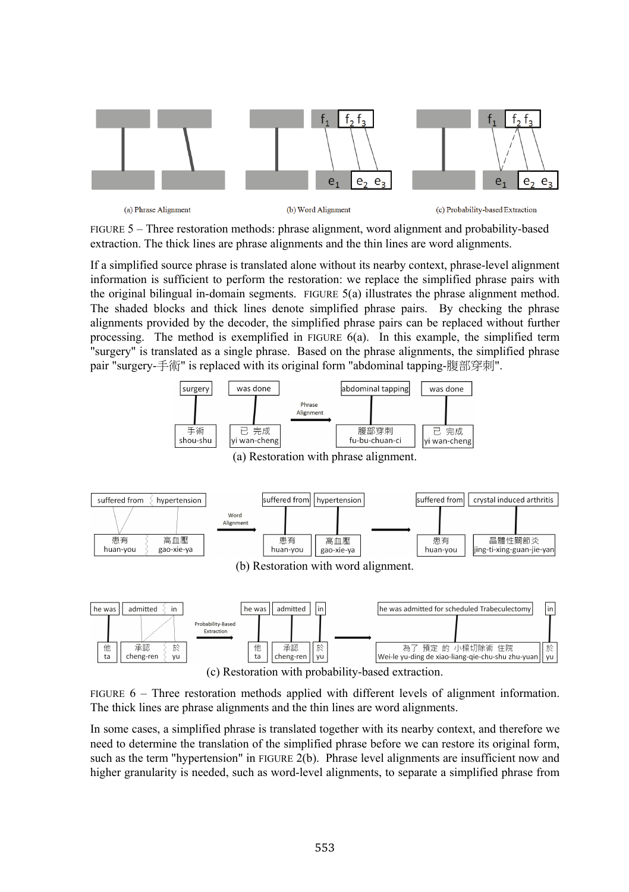

(a) Phrase Alionment

(b) Word Alignment

(c) Probability-based Extraction

FIGURE 5 – Three restoration methods: phrase alignment, word alignment and probability-based extraction. The thick lines are phrase alignments and the thin lines are word alignments.

If a simplified source phrase is translated alone without its nearby context, phrase-level alignment information is sufficient to perform the restoration: we replace the simplified phrase pairs with the original bilingual in-domain segments. FIGURE 5(a) illustrates the phrase alignment method. The shaded blocks and thick lines denote simplified phrase pairs. By checking the phrase alignments provided by the decoder, the simplified phrase pairs can be replaced without further processing. The method is exemplified in FIGURE 6(a). In this example, the simplified term "surgery" is translated as a single phrase. Based on the phrase alignments, the simplified phrase pair "surgery-手術" is replaced with its original form "abdominal tapping-腹部穿刺".



FIGURE 6 – Three restoration methods applied with different levels of alignment information. The thick lines are phrase alignments and the thin lines are word alignments.

In some cases, a simplified phrase is translated together with its nearby context, and therefore we need to determine the translation of the simplified phrase before we can restore its original form, such as the term "hypertension" in FIGURE 2(b). Phrase level alignments are insufficient now and higher granularity is needed, such as word-level alignments, to separate a simplified phrase from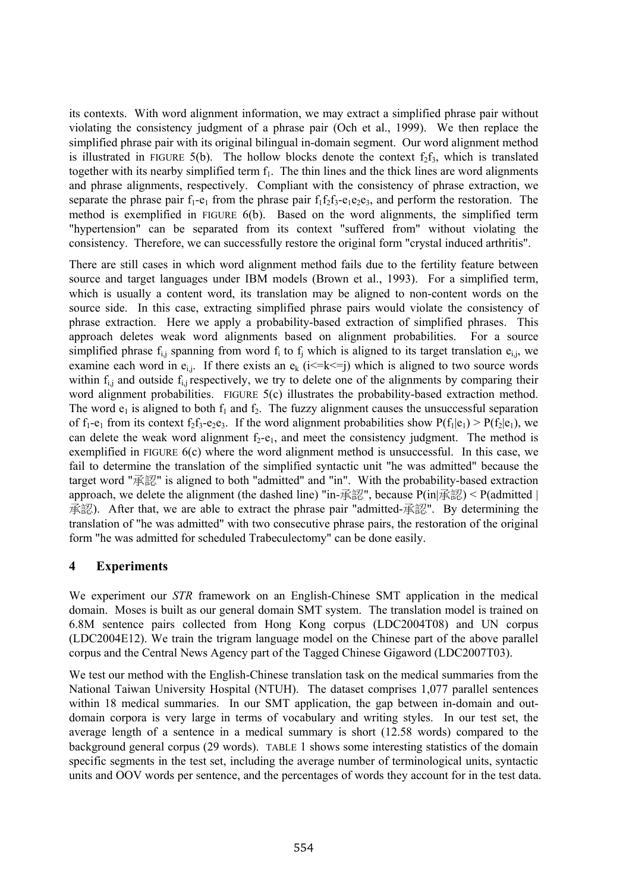its contexts. With word alignment information, we may extract a simplified phrase pair without violating the consistency judgment of a phrase pair (Och et al., 1999). We then replace the simplified phrase pair with its original bilingual in-domain segment. Our word alignment method is illustrated in FIGURE 5(b). The hollow blocks denote the context  $f_2f_3$ , which is translated together with its nearby simplified term  $f_1$ . The thin lines and the thick lines are word alignments and phrase alignments, respectively. Compliant with the consistency of phrase extraction, we separate the phrase pair  $f_1-e_1$  from the phrase pair  $f_1f_2f_3-e_1e_2e_3$ , and perform the restoration. The method is exemplified in FIGURE 6(b). Based on the word alignments, the simplified term "hypertension" can be separated from its context "suffered from" without violating the consistency. Therefore, we can successfully restore the original form "crystal induced arthritis".

There are still cases in which word alignment method fails due to the fertility feature between source and target languages under IBM models (Brown et al., 1993). For a simplified term, which is usually a content word, its translation may be aligned to non-content words on the source side. In this case, extracting simplified phrase pairs would violate the consistency of phrase extraction. Here we apply a probability-based extraction of simplified phrases. This approach deletes weak word alignments based on alignment probabilities. For a source simplified phrase  $f_{i,j}$  spanning from word  $f_i$  to  $f_j$  which is aligned to its target translation  $e_{i,j}$ , we examine each word in  $e_{i,j}$ . If there exists an  $e_k$  ( $i \le k \le j$ ) which is aligned to two source words within  $f_{i,j}$  and outside  $f_{i,j}$  respectively, we try to delete one of the alignments by comparing their word alignment probabilities. FIGURE 5(c) illustrates the probability-based extraction method. The word  $e_1$  is aligned to both  $f_1$  and  $f_2$ . The fuzzy alignment causes the unsuccessful separation of  $f_1-e_1$  from its context  $f_2f_3-e_2e_3$ . If the word alignment probabilities show  $P(f_1|e_1) > P(f_2|e_1)$ , we can delete the weak word alignment  $f_2-e_1$ , and meet the consistency judgment. The method is exemplified in FIGURE 6(c) where the word alignment method is unsuccessful. In this case, we fail to determine the translation of the simplified syntactic unit "he was admitted" because the target word "承認" is aligned to both "admitted" and "in". With the probability-based extraction approach, we delete the alignment (the dashed line) "in-承認", because  $P(in|\vec{A}||\vec{B})$  <  $P(admitted|)$ 承認). After that, we are able to extract the phrase pair "admitted-承認". By determining the translation of "he was admitted" with two consecutive phrase pairs, the restoration of the original form "he was admitted for scheduled Trabeculectomy" can be done easily.

### **4 Experiments**

We experiment our *STR* framework on an English-Chinese SMT application in the medical domain. Moses is built as our general domain SMT system. The translation model is trained on 6.8M sentence pairs collected from Hong Kong corpus (LDC2004T08) and UN corpus (LDC2004E12). We train the trigram language model on the Chinese part of the above parallel corpus and the Central News Agency part of the Tagged Chinese Gigaword (LDC2007T03).

We test our method with the English-Chinese translation task on the medical summaries from the National Taiwan University Hospital (NTUH). The dataset comprises 1,077 parallel sentences within 18 medical summaries. In our SMT application, the gap between in-domain and outdomain corpora is very large in terms of vocabulary and writing styles. In our test set, the average length of a sentence in a medical summary is short (12.58 words) compared to the background general corpus (29 words). TABLE 1 shows some interesting statistics of the domain specific segments in the test set, including the average number of terminological units, syntactic units and OOV words per sentence, and the percentages of words they account for in the test data.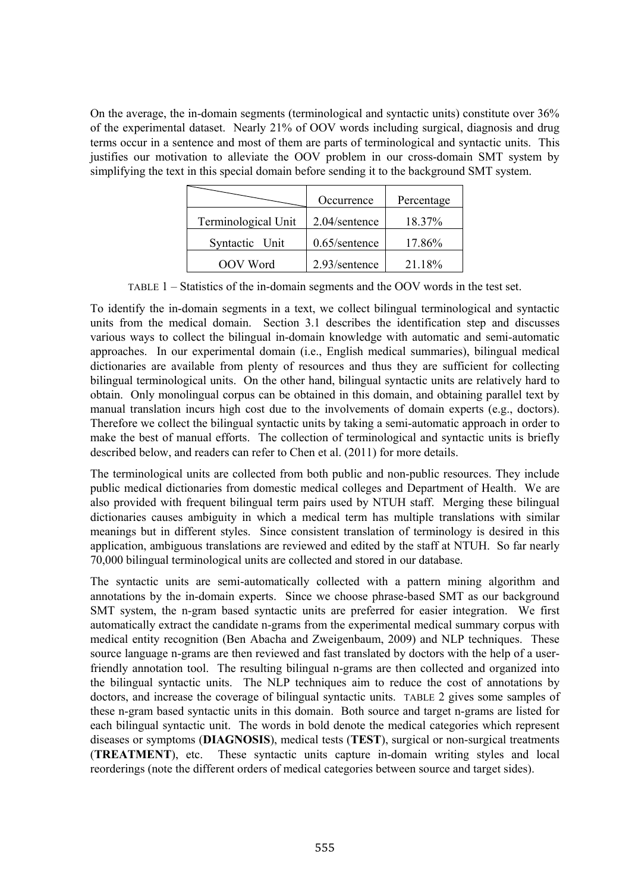On the average, the in-domain segments (terminological and syntactic units) constitute over 36% of the experimental dataset. Nearly 21% of OOV words including surgical, diagnosis and drug terms occur in a sentence and most of them are parts of terminological and syntactic units. This justifies our motivation to alleviate the OOV problem in our cross-domain SMT system by simplifying the text in this special domain before sending it to the background SMT system.

|                     | Occurrence       | Percentage |
|---------------------|------------------|------------|
| Terminological Unit | 2.04/sentence    | 18.37%     |
| Syntactic Unit      | $0.65$ /sentence | 17.86%     |
| OOV Word            | 2.93/sentence    | 21.18%     |

TABLE 1 – Statistics of the in-domain segments and the OOV words in the test set.

To identify the in-domain segments in a text, we collect bilingual terminological and syntactic units from the medical domain. Section 3.1 describes the identification step and discusses various ways to collect the bilingual in-domain knowledge with automatic and semi-automatic approaches. In our experimental domain (i.e., English medical summaries), bilingual medical dictionaries are available from plenty of resources and thus they are sufficient for collecting bilingual terminological units. On the other hand, bilingual syntactic units are relatively hard to obtain. Only monolingual corpus can be obtained in this domain, and obtaining parallel text by manual translation incurs high cost due to the involvements of domain experts (e.g., doctors). Therefore we collect the bilingual syntactic units by taking a semi-automatic approach in order to make the best of manual efforts. The collection of terminological and syntactic units is briefly described below, and readers can refer to Chen et al. (2011) for more details.

The terminological units are collected from both public and non-public resources. They include public medical dictionaries from domestic medical colleges and Department of Health. We are also provided with frequent bilingual term pairs used by NTUH staff. Merging these bilingual dictionaries causes ambiguity in which a medical term has multiple translations with similar meanings but in different styles. Since consistent translation of terminology is desired in this application, ambiguous translations are reviewed and edited by the staff at NTUH. So far nearly 70,000 bilingual terminological units are collected and stored in our database.

The syntactic units are semi-automatically collected with a pattern mining algorithm and annotations by the in-domain experts. Since we choose phrase-based SMT as our background SMT system, the n-gram based syntactic units are preferred for easier integration. We first automatically extract the candidate n-grams from the experimental medical summary corpus with medical entity recognition (Ben Abacha and Zweigenbaum, 2009) and NLP techniques. These source language n-grams are then reviewed and fast translated by doctors with the help of a userfriendly annotation tool. The resulting bilingual n-grams are then collected and organized into the bilingual syntactic units. The NLP techniques aim to reduce the cost of annotations by doctors, and increase the coverage of bilingual syntactic units. TABLE 2 gives some samples of these n-gram based syntactic units in this domain. Both source and target n-grams are listed for each bilingual syntactic unit. The words in bold denote the medical categories which represent diseases or symptoms (**DIAGNOSIS**), medical tests (**TEST**), surgical or non-surgical treatments (**TREATMENT**), etc. These syntactic units capture in-domain writing styles and local reorderings (note the different orders of medical categories between source and target sides).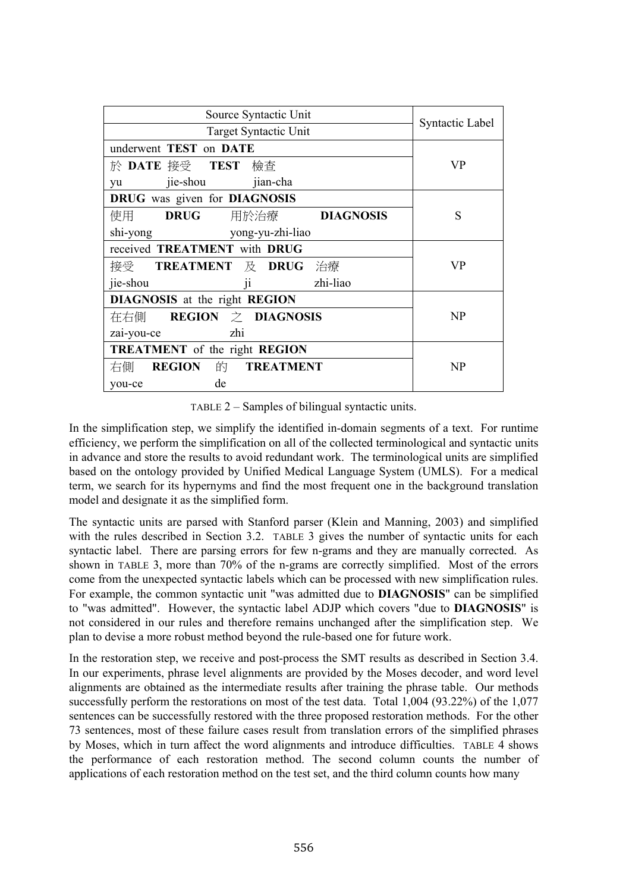| Source Syntactic Unit                       | Syntactic Label |
|---------------------------------------------|-----------------|
| Target Syntactic Unit                       |                 |
| underwent TEST on DATE                      |                 |
| 於 DATE 接受 TEST<br>檢査                        | VP              |
| yu jie-shou jian-cha                        |                 |
| DRUG was given for DIAGNOSIS                |                 |
| <b>DRUG</b> 用於治療 <b>DIAGNOSIS</b><br>使用     | S               |
| shi-yong vong-yu-zhi-liao                   |                 |
| received <b>TREATMENT</b> with <b>DRUG</b>  | VP              |
| 接受 TREATMENT 及 DRUG 治療                      |                 |
| ii<br>zhi-liao<br>jie-shou                  |                 |
| DIAGNOSIS at the right REGION               |                 |
| 在右側 REGION 之 DIAGNOSIS                      | NP              |
| zhi<br>zai-you-ce                           |                 |
| <b>TREATMENT</b> of the right <b>REGION</b> |                 |
| <b>REGION 的 TREATMENT</b><br>右側             | NP              |
| de<br>you-ce                                |                 |

TABLE 2 – Samples of bilingual syntactic units.

In the simplification step, we simplify the identified in-domain segments of a text. For runtime efficiency, we perform the simplification on all of the collected terminological and syntactic units in advance and store the results to avoid redundant work. The terminological units are simplified based on the ontology provided by Unified Medical Language System (UMLS). For a medical term, we search for its hypernyms and find the most frequent one in the background translation model and designate it as the simplified form.

The syntactic units are parsed with Stanford parser (Klein and Manning, 2003) and simplified with the rules described in Section 3.2. TABLE 3 gives the number of syntactic units for each syntactic label. There are parsing errors for few n-grams and they are manually corrected. As shown in TABLE 3, more than 70% of the n-grams are correctly simplified. Most of the errors come from the unexpected syntactic labels which can be processed with new simplification rules. For example, the common syntactic unit "was admitted due to **DIAGNOSIS**" can be simplified to "was admitted". However, the syntactic label ADJP which covers "due to **DIAGNOSIS**" is not considered in our rules and therefore remains unchanged after the simplification step. We plan to devise a more robust method beyond the rule-based one for future work.

In the restoration step, we receive and post-process the SMT results as described in Section 3.4. In our experiments, phrase level alignments are provided by the Moses decoder, and word level alignments are obtained as the intermediate results after training the phrase table. Our methods successfully perform the restorations on most of the test data. Total 1,004 (93.22%) of the 1,077 sentences can be successfully restored with the three proposed restoration methods. For the other 73 sentences, most of these failure cases result from translation errors of the simplified phrases by Moses, which in turn affect the word alignments and introduce difficulties. TABLE 4 shows the performance of each restoration method. The second column counts the number of applications of each restoration method on the test set, and the third column counts how many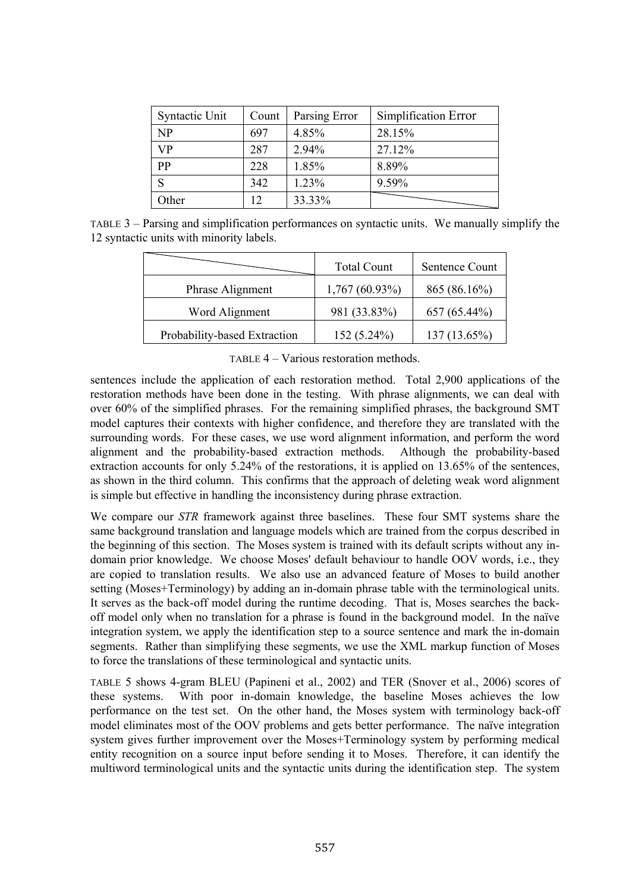| Syntactic Unit | Count | Parsing Error | Simplification Error |
|----------------|-------|---------------|----------------------|
| NP             | 697   | 4.85%         | 28.15%               |
| VP             | 287   | 2.94%         | 27.12%               |
| PP             | 228   | 1.85%         | 8.89%                |
| S              | 342   | 1.23%         | 9.59%                |
| Other          | 12    | 33.33%        |                      |

TABLE 3 – Parsing and simplification performances on syntactic units. We manually simplify the 12 syntactic units with minority labels.

|                              | <b>Total Count</b> | Sentence Count |
|------------------------------|--------------------|----------------|
| Phrase Alignment             | $1,767(60.93\%)$   | 865 (86.16%)   |
| Word Alignment               | 981 (33.83%)       | 657 (65.44%)   |
| Probability-based Extraction | $152(5.24\%)$      | 137 (13.65%)   |

TABLE 4 – Various restoration methods.

sentences include the application of each restoration method. Total 2,900 applications of the restoration methods have been done in the testing. With phrase alignments, we can deal with over 60% of the simplified phrases. For the remaining simplified phrases, the background SMT model captures their contexts with higher confidence, and therefore they are translated with the surrounding words. For these cases, we use word alignment information, and perform the word alignment and the probability-based extraction methods. Although the probability-based extraction accounts for only 5.24% of the restorations, it is applied on 13.65% of the sentences, as shown in the third column. This confirms that the approach of deleting weak word alignment is simple but effective in handling the inconsistency during phrase extraction.

We compare our *STR* framework against three baselines. These four SMT systems share the same background translation and language models which are trained from the corpus described in the beginning of this section. The Moses system is trained with its default scripts without any indomain prior knowledge. We choose Moses' default behaviour to handle OOV words, i.e., they are copied to translation results. We also use an advanced feature of Moses to build another setting (Moses+Terminology) by adding an in-domain phrase table with the terminological units. It serves as the back-off model during the runtime decoding. That is, Moses searches the backoff model only when no translation for a phrase is found in the background model. In the naïve integration system, we apply the identification step to a source sentence and mark the in-domain segments. Rather than simplifying these segments, we use the XML markup function of Moses to force the translations of these terminological and syntactic units.

TABLE 5 shows 4-gram BLEU (Papineni et al., 2002) and TER (Snover et al., 2006) scores of these systems. With poor in-domain knowledge, the baseline Moses achieves the low performance on the test set. On the other hand, the Moses system with terminology back-off model eliminates most of the OOV problems and gets better performance. The naïve integration system gives further improvement over the Moses+Terminology system by performing medical entity recognition on a source input before sending it to Moses. Therefore, it can identify the multiword terminological units and the syntactic units during the identification step. The system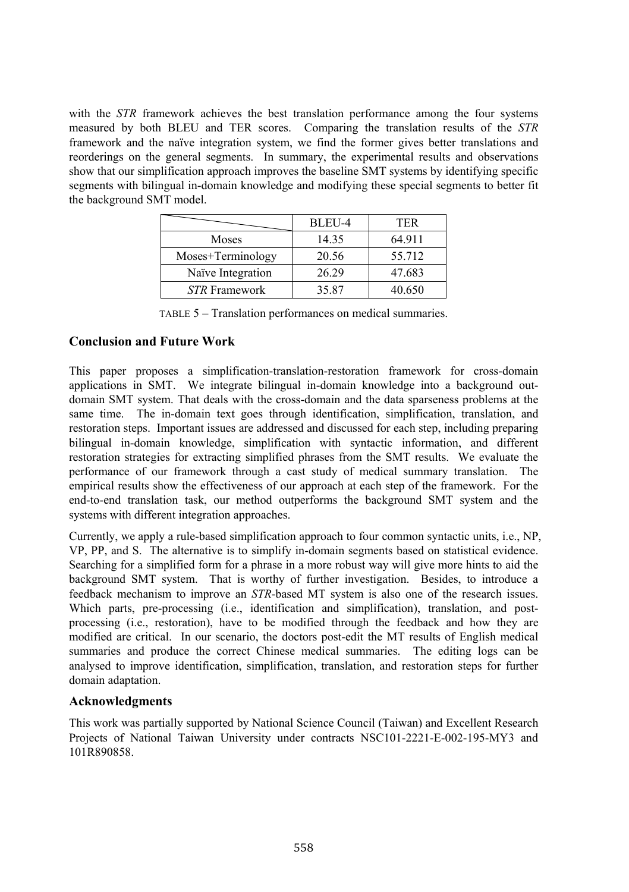with the *STR* framework achieves the best translation performance among the four systems measured by both BLEU and TER scores. Comparing the translation results of the *STR* framework and the naïve integration system, we find the former gives better translations and reorderings on the general segments. In summary, the experimental results and observations show that our simplification approach improves the baseline SMT systems by identifying specific segments with bilingual in-domain knowledge and modifying these special segments to better fit the background SMT model.

|                      | BLEU-4 | TER    |
|----------------------|--------|--------|
| Moses                | 14.35  | 64.911 |
| Moses+Terminology    | 20.56  | 55.712 |
| Naïve Integration    | 26.29  | 47.683 |
| <b>STR</b> Framework | 35.87  | 40.650 |

TABLE 5 – Translation performances on medical summaries.

# **Conclusion and Future Work**

This paper proposes a simplification-translation-restoration framework for cross-domain applications in SMT. We integrate bilingual in-domain knowledge into a background outdomain SMT system. That deals with the cross-domain and the data sparseness problems at the same time. The in-domain text goes through identification, simplification, translation, and restoration steps. Important issues are addressed and discussed for each step, including preparing bilingual in-domain knowledge, simplification with syntactic information, and different restoration strategies for extracting simplified phrases from the SMT results. We evaluate the performance of our framework through a cast study of medical summary translation. The empirical results show the effectiveness of our approach at each step of the framework. For the end-to-end translation task, our method outperforms the background SMT system and the systems with different integration approaches.

Currently, we apply a rule-based simplification approach to four common syntactic units, i.e., NP, VP, PP, and S. The alternative is to simplify in-domain segments based on statistical evidence. Searching for a simplified form for a phrase in a more robust way will give more hints to aid the background SMT system. That is worthy of further investigation. Besides, to introduce a feedback mechanism to improve an *STR*-based MT system is also one of the research issues. Which parts, pre-processing (i.e., identification and simplification), translation, and postprocessing (i.e., restoration), have to be modified through the feedback and how they are modified are critical. In our scenario, the doctors post-edit the MT results of English medical summaries and produce the correct Chinese medical summaries. The editing logs can be analysed to improve identification, simplification, translation, and restoration steps for further domain adaptation.

# **Acknowledgments**

This work was partially supported by National Science Council (Taiwan) and Excellent Research Projects of National Taiwan University under contracts NSC101-2221-E-002-195-MY3 and 101R890858.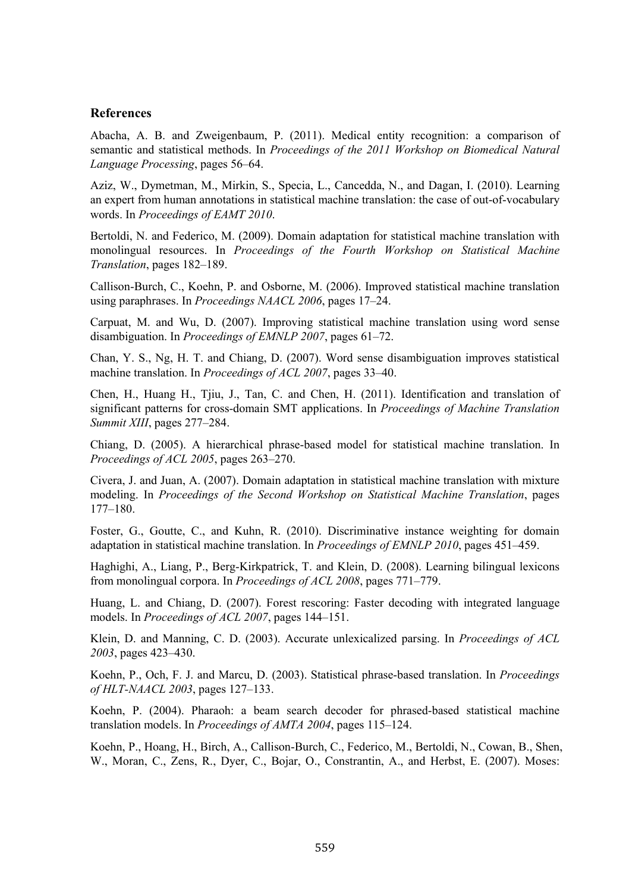### **References**

Abacha, A. B. and Zweigenbaum, P. (2011). Medical entity recognition: a comparison of semantic and statistical methods. In *Proceedings of the 2011 Workshop on Biomedical Natural Language Processing*, pages 56–64.

Aziz, W., Dymetman, M., Mirkin, S., Specia, L., Cancedda, N., and Dagan, I. (2010). Learning an expert from human annotations in statistical machine translation: the case of out-of-vocabulary words. In *Proceedings of EAMT 2010*.

Bertoldi, N. and Federico, M. (2009). Domain adaptation for statistical machine translation with monolingual resources. In *Proceedings of the Fourth Workshop on Statistical Machine Translation*, pages 182–189.

Callison-Burch, C., Koehn, P. and Osborne, M. (2006). Improved statistical machine translation using paraphrases. In *Proceedings NAACL 2006*, pages 17–24.

Carpuat, M. and Wu, D. (2007). Improving statistical machine translation using word sense disambiguation. In *Proceedings of EMNLP 2007*, pages 61–72.

Chan, Y. S., Ng, H. T. and Chiang, D. (2007). Word sense disambiguation improves statistical machine translation. In *Proceedings of ACL 2007*, pages 33–40.

Chen, H., Huang H., Tjiu, J., Tan, C. and Chen, H. (2011). Identification and translation of significant patterns for cross-domain SMT applications. In *Proceedings of Machine Translation Summit XIII*, pages 277–284.

Chiang, D. (2005). A hierarchical phrase-based model for statistical machine translation. In *Proceedings of ACL 2005*, pages 263–270.

Civera, J. and Juan, A. (2007). Domain adaptation in statistical machine translation with mixture modeling. In *Proceedings of the Second Workshop on Statistical Machine Translation*, pages 177–180.

Foster, G., Goutte, C., and Kuhn, R. (2010). Discriminative instance weighting for domain adaptation in statistical machine translation. In *Proceedings of EMNLP 2010*, pages 451–459.

Haghighi, A., Liang, P., Berg-Kirkpatrick, T. and Klein, D. (2008). Learning bilingual lexicons from monolingual corpora. In *Proceedings of ACL 2008*, pages 771–779.

Huang, L. and Chiang, D. (2007). Forest rescoring: Faster decoding with integrated language models. In *Proceedings of ACL 2007*, pages 144–151.

Klein, D. and Manning, C. D. (2003). Accurate unlexicalized parsing. In *Proceedings of ACL 2003*, pages 423–430.

Koehn, P., Och, F. J. and Marcu, D. (2003). Statistical phrase-based translation. In *Proceedings of HLT-NAACL 2003*, pages 127–133.

Koehn, P. (2004). Pharaoh: a beam search decoder for phrased-based statistical machine translation models. In *Proceedings of AMTA 2004*, pages 115–124.

Koehn, P., Hoang, H., Birch, A., Callison-Burch, C., Federico, M., Bertoldi, N., Cowan, B., Shen, W., Moran, C., Zens, R., Dyer, C., Bojar, O., Constrantin, A., and Herbst, E. (2007). Moses: